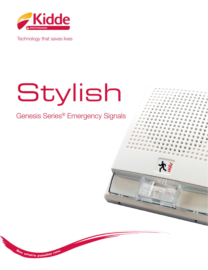

Technology that saves lives

# Stylish

Genesis Series® Emergency Signals



**<sup>S</sup><sup>e</sup><sup>e</sup> <sup>w</sup>hat'<sup>s</sup> <sup>p</sup>ossibl<sup>e</sup> <sup>n</sup>ow.**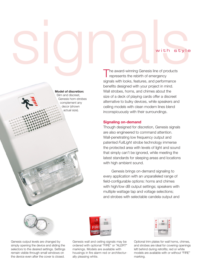Model of discretion: Slim and discreet, Genesis horn-strobes complement any decor (shown actual size).

With Style<br>The award-winning Genesis line of products The award-winning Genesis line of products represents the rebirth of emergency signals with looks, features, and performance benefits designed with your project in mind. Wall strobes, horns, and chimes about the size of a deck of playing cards offer a discreet alternative to bulky devices, while speakers and ceiling models with clean modern lines blend inconspicuously with their surroundings.

#### Signaling on-demand

Though designed for discretion, Genesis signals are also engineered to command attention. Wall-penetrating low frequency output and patented *FullLight* strobe technology immerse the protected area with levels of light and sound that simply can't be ignored, while meeting the latest standards for sleeping areas and locations with high ambient sound.

Genesis brings on-demand signaling to every application with an unparalleled range of field-configurable options: horns and chimes with high/low dB output settings; speakers with multiple wattage tap and voltage selections; and strobes with selectable candela output and



Genesis output levels are changed by simply opening the device and sliding the selectors to the desired settings. Settings remain visible through small windows on the device even after the cover is closed.



Genesis wall and ceiling signals may be ordered with optional "FIRE" or "ALERT" markings. Models are available with housings in fire alarm red or architecturally pleasing white.

| ۴ |                                                                                                                                                     |   |
|---|-----------------------------------------------------------------------------------------------------------------------------------------------------|---|
|   | <b>CONTRACT MARKERSHIP &amp; COMPANY</b><br><b><i><u>PERSONAL PROPERTY OF STATE OF GROOM</u></i></b><br>2222211 0000000000 0000000<br><br>≕<br>---- |   |
| Ë |                                                                                                                                                     | ¢ |
|   |                                                                                                                                                     |   |
|   |                                                                                                                                                     |   |

Optional trim plates for wall horns, chimes, and strobes are ideal for covering openings left behind during retrofits; red or white models are available with or without "FIRE" marking.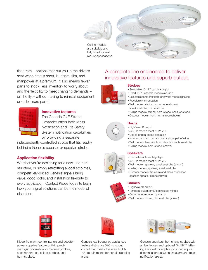

Ceiling models are suitable and fully listed for wall mount applications.



flash rate – options that put you in the driver's seat when time is short, budgets slim, and manpower at a premium. It also means fewer parts to stock, less inventory to worry about, and the flexibility to meet changing demands – on the fly – without having to reinstall equipment or order more parts!



## Innovative features

The Genesis G4E Strobe Expander offers both Mass Notification and Life Safety System notification capabilities by providing a separate,

independently-controlled strobe that fits readily behind a Genesis speaker or speaker-strobe.

### Application flexibility

Whether you're designing for a new landmark structure, or simply retrofitting a local strip mall, competitively-priced Genesis signals bring value, good looks, and installation flexibility to every application. Contact Kidde today to learn how your signal solutions can be the model of discretion.

## A complete line engineered to deliver innovative features and superb output.

#### **Strobes**

- Selectable 15-177 candela output
- Fixed 15/75 candela models available
- Selectable temporal flash for private mode signaling
- Precision synchronization
- Wall models: strobe, horn-strobe (shown), speaker-strobe, chime-strobe
- Ceiling models: strobe, horn-strobe, speaker-strobe
- Outdoor models: horn, horn-strobe (shown)

#### **Horns**

- High/low dB output
- 520 Hz models meet NFPA 720
- Coded or non-coded operation
- Independent horn control over a single pair of wires
- Wall models: temporal horn, steady horn, horn-strobe
- Ceiling models: horn-strobe (shown)

#### **Speakers**

- Four selectable wattage taps
- 520 Hz models meet NFPA 720
- Wall models: speaker, speaker-strobe (shown)
- Ceiling models: speaker, speaker-strobe
- Outdoor models: fire alarm and mass notification speaker, speaker-strobe (shown)

#### Chimes

- High/low dB output
- Temporal output or 60 strokes per minute
- Coded or non-coded operation
- Wall models: chime, chime-strobe (shown)



Kidde fire alarm control panels and booster power supplies feature built-in precision synchronization for Genesis strobes, speaker-strobes, chime-strobes, and horn-strobes.

Genesis low frequency appliances feature distinctive 520 Hz sound output that meets the latest NFPA 720 requirements for certain sleeping areas.



Genesis speakers, horns, and strobes with amber lenses and optional "ALERT" lettering are ideal for applications that require differentiation between fire alarm and mass notification alerts.